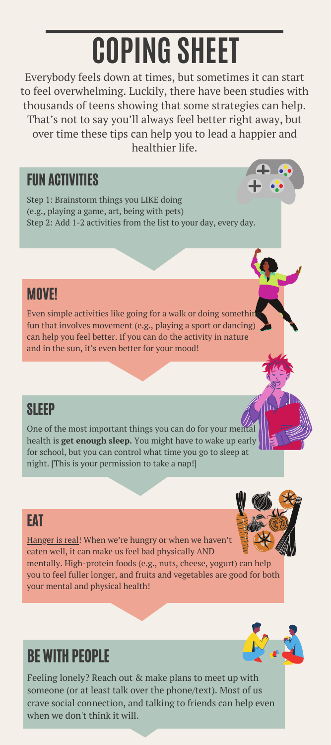# **COPING SHEET**

Everybody feels down at times, but sometimes it can start to feel overwhelming. Luckily, there have been studies with thousands of teens showing that some strategies can help. That's not to say you'll always feel better right away, but over time these tips can help you to lead a happier and healthier life.

## FUN ACTIVITIES

Step 1: Brainstorm things you LIKE doing (e.g., playing a game, art, being with pets) Step 2: Add 1-2 activities from the list to your day, every day.

## **MOVE!**

Even simple activities like going for a walk or doing something fun that involves movement (e.g., playing a sport or dancing) can help you feel better. If you can do the activity in nature and in the sun, it's even better for your mood!

## **SLEEP**

One of the most important things you can do for your men health is **get enough sleep.** You might have to wake up early for school, but you can control what time you go to sleep at night. [This is your permission to take a nap!]

## **FAT**

Hanger is real! When we're hungry or when we haven't eaten well, it can make us feel bad physically AND mentally. High-protein foods (e.g., nuts, cheese, yogurt) can help

you to feel fuller longer, and fruits and vegetables are good for both your mental and physical health!

# BE WITH PEOPLE

Feeling lonely? Reach out & make plans to meet up with someone (or at least talk over the phone/text). Most of us crave social connection, and talking to friends can help even when we don't think it will.